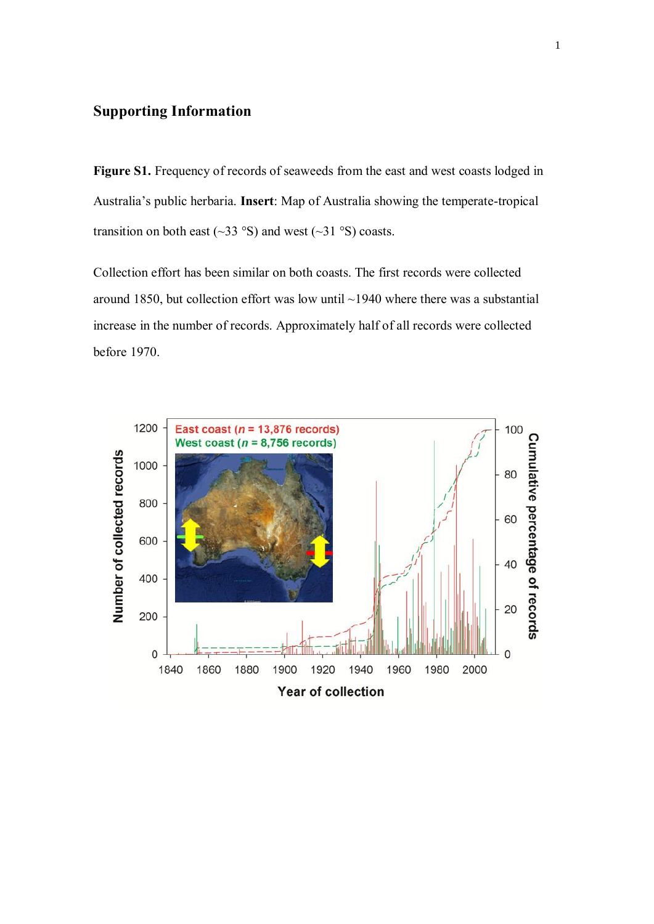## **Supporting Information**

**Figure S1.** Frequency of records of seaweeds from the east and west coasts lodged in Australia's public herbaria. **Insert**: Map of Australia showing the temperate-tropical transition on both east ( $\sim$ 33 °S) and west ( $\sim$ 31 °S) coasts.

Collection effort has been similar on both coasts. The first records were collected around 1850, but collection effort was low until ~1940 where there was a substantial increase in the number of records. Approximately half of all records were collected before 1970.

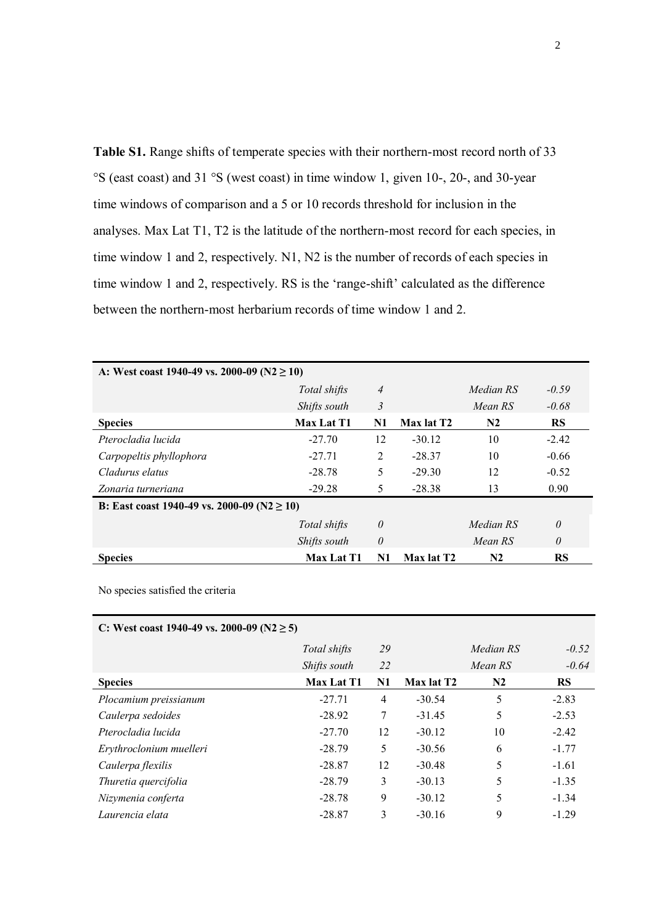**Table S1.** Range shifts of temperate species with their northern-most record north of 33 °S (east coast) and 31 °S (west coast) in time window 1, given 10-, 20-, and 30-year time windows of comparison and a 5 or 10 records threshold for inclusion in the analyses. Max Lat T1, T2 is the latitude of the northern-most record for each species, in time window 1 and 2, respectively. N1, N2 is the number of records of each species in time window 1 and 2, respectively. RS is the 'range-shift' calculated as the difference between the northern-most herbarium records of time window 1 and 2.

| A: West coast 1940-49 vs. 2000-09 ( $N2 \ge 10$ ) |                   |          |                        |                |           |  |  |  |
|---------------------------------------------------|-------------------|----------|------------------------|----------------|-----------|--|--|--|
|                                                   | Total shifts      | 4        |                        | Median RS      | $-0.59$   |  |  |  |
|                                                   | Shifts south      | 3        |                        | Mean RS        | $-0.68$   |  |  |  |
| <b>Species</b>                                    | <b>Max Lat T1</b> | N1       | Max lat T <sub>2</sub> | N <sub>2</sub> | <b>RS</b> |  |  |  |
| Pterocladia lucida                                | $-27.70$          | 12       | $-30.12$               | 10             | $-2.42$   |  |  |  |
| Carpopeltis phyllophora                           | $-27.71$          | 2        | $-28.37$               | 10             | $-0.66$   |  |  |  |
| Cladurus elatus                                   | $-28.78$          | 5        | $-29.30$               | 12             | $-0.52$   |  |  |  |
| Zonaria turneriana                                | $-29.28$          | 5        | $-28.38$               | 13             | 0.90      |  |  |  |
| B: East coast 1940-49 vs. 2000-09 ( $N2 \ge 10$ ) |                   |          |                        |                |           |  |  |  |
|                                                   | Total shifts      | 0        |                        | Median RS      | $\theta$  |  |  |  |
|                                                   | Shifts south      | $\theta$ |                        | Mean RS        | $\theta$  |  |  |  |
| <b>Species</b>                                    | <b>Max Lat T1</b> | N1       | Max lat T <sub>2</sub> | N <sub>2</sub> | <b>RS</b> |  |  |  |

No species satisfied the criteria

| C: West coast 1940-49 vs. 2000-09 ( $N2 \ge 5$ ) |                   |                |                        |                |           |  |
|--------------------------------------------------|-------------------|----------------|------------------------|----------------|-----------|--|
|                                                  | Total shifts      | 29             |                        | Median RS      | $-0.52$   |  |
|                                                  | Shifts south      | 22             |                        | Mean RS        | $-0.64$   |  |
| <b>Species</b>                                   | <b>Max Lat T1</b> | N1             | Max lat T <sub>2</sub> | N <sub>2</sub> | <b>RS</b> |  |
| Plocamium preissianum                            | $-27.71$          | $\overline{4}$ | $-30.54$               | 5              | $-2.83$   |  |
| Caulerpa sedoides                                | $-28.92$          | 7              | $-31.45$               | 5              | $-2.53$   |  |
| Pterocladia lucida                               | $-27.70$          | 12             | $-30.12$               | 10             | $-2.42$   |  |
| Erythroclonium muelleri                          | $-28.79$          | 5              | $-30.56$               | 6              | $-1.77$   |  |
| Caulerpa flexilis                                | $-28.87$          | 12             | $-30.48$               | 5              | $-1.61$   |  |
| Thuretia quercifolia                             | $-28.79$          | 3              | $-30.13$               | 5              | $-1.35$   |  |
| Nizymenia conferta                               | $-28.78$          | 9              | $-30.12$               | 5              | $-1.34$   |  |
| Laurencia elata                                  | $-28.87$          | 3              | $-30.16$               | 9              | $-1.29$   |  |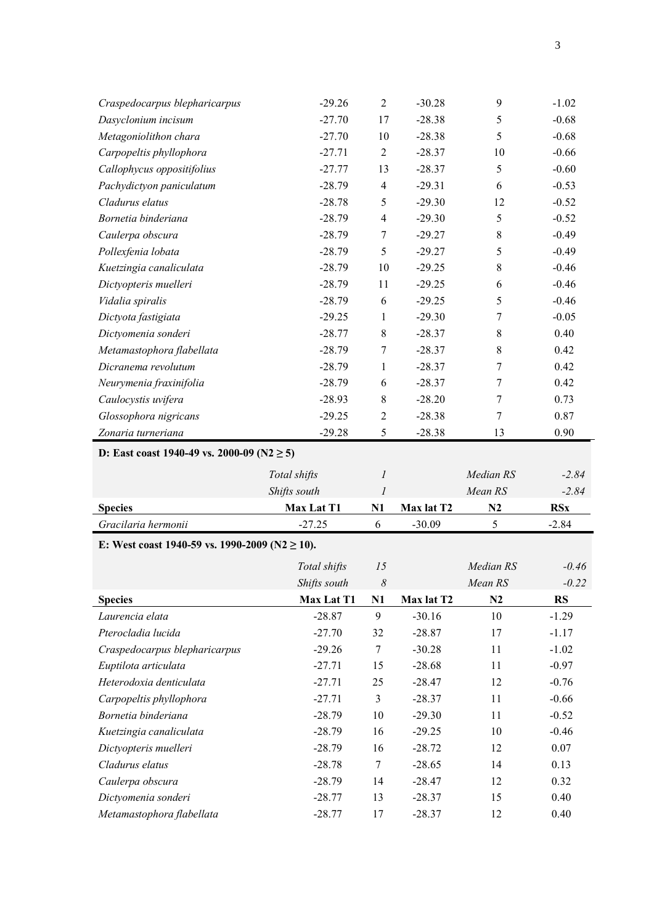| Craspedocarpus blepharicarpus                       | $-29.26$                   | $\overline{2}$        | $-30.28$               | 9             | $-1.02$               |  |  |  |  |
|-----------------------------------------------------|----------------------------|-----------------------|------------------------|---------------|-----------------------|--|--|--|--|
| Dasyclonium incisum                                 | $-27.70$                   | 17                    | $-28.38$               | 5             | $-0.68$               |  |  |  |  |
| Metagoniolithon chara                               | $-27.70$                   | 10                    | $-28.38$               | 5             | $-0.68$               |  |  |  |  |
| Carpopeltis phyllophora                             | $-27.71$                   | $\overline{2}$        | $-28.37$               | 10            | $-0.66$               |  |  |  |  |
| Callophycus oppositifolius                          | $-27.77$                   | 13                    | $-28.37$               | 5             | $-0.60$               |  |  |  |  |
| Pachydictyon paniculatum                            | $-28.79$                   | $\overline{4}$        | $-29.31$               | 6             | $-0.53$               |  |  |  |  |
| Cladurus elatus                                     | $-28.78$                   | 5                     | $-29.30$               | 12            | $-0.52$               |  |  |  |  |
| Bornetia binderiana                                 | $-28.79$                   | $\overline{4}$        | $-29.30$               | 5             | $-0.52$               |  |  |  |  |
| Caulerpa obscura                                    | $-28.79$                   | 7                     | $-29.27$               | 8             | $-0.49$               |  |  |  |  |
| Pollexfenia lobata                                  | $-28.79$                   | 5                     | $-29.27$               | 5             | $-0.49$               |  |  |  |  |
| Kuetzingia canaliculata                             | $-28.79$                   | 10                    | $-29.25$               | 8             | $-0.46$               |  |  |  |  |
| Dictyopteris muelleri                               | $-28.79$                   | 11                    | $-29.25$               | 6             | $-0.46$               |  |  |  |  |
| Vidalia spiralis                                    | $-28.79$                   | 6                     | $-29.25$               | 5             | $-0.46$               |  |  |  |  |
| Dictyota fastigiata                                 | $-29.25$                   | 1                     | $-29.30$               | 7             | $-0.05$               |  |  |  |  |
| Dictyomenia sonderi                                 | $-28.77$                   | $8\,$                 | $-28.37$               | 8             | 0.40                  |  |  |  |  |
| Metamastophora flabellata                           | $-28.79$                   | 7                     | $-28.37$               | 8             | 0.42                  |  |  |  |  |
| Dicranema revolutum                                 | $-28.79$                   | 1                     | $-28.37$               | 7             | 0.42                  |  |  |  |  |
| Neurymenia fraxinifolia                             | $-28.79$                   | 6                     | $-28.37$               | 7             | 0.42                  |  |  |  |  |
| Caulocystis uvifera                                 | $-28.93$                   | $8\,$                 | $-28.20$               | 7             | 0.73                  |  |  |  |  |
| Glossophora nigricans                               | $-29.25$                   | $\overline{c}$        | $-28.38$               | 7             | 0.87                  |  |  |  |  |
| Zonaria turneriana                                  | $-29.28$                   | 5                     | $-28.38$               | 13            | 0.90                  |  |  |  |  |
| D: East coast 1940-49 vs. 2000-09 ( $N2 \ge 5$ )    |                            |                       |                        |               |                       |  |  |  |  |
|                                                     |                            |                       |                        |               |                       |  |  |  |  |
|                                                     |                            | $\boldsymbol{l}$      |                        | Median RS     |                       |  |  |  |  |
|                                                     | Total shifts               | 1                     |                        |               | $-2.84$               |  |  |  |  |
|                                                     | Shifts south<br>Max Lat T1 |                       |                        | Mean RS<br>N2 | $-2.84$<br><b>RSx</b> |  |  |  |  |
| <b>Species</b><br>Gracilaria hermonii               | $-27.25$                   | N1<br>6               | Max lat T2<br>$-30.09$ | 5             | $-2.84$               |  |  |  |  |
| E: West coast 1940-59 vs. 1990-2009 (N2 $\geq$ 10). |                            |                       |                        |               |                       |  |  |  |  |
|                                                     |                            |                       |                        |               |                       |  |  |  |  |
|                                                     | Total shifts               | 15                    |                        | Median RS     | $-0.46$               |  |  |  |  |
|                                                     | Shifts south               | $\boldsymbol{\delta}$ |                        | Mean RS       | $-0.22$               |  |  |  |  |
| <b>Species</b>                                      | Max Lat T1                 | N1                    | Max lat T2             | N2            | <b>RS</b>             |  |  |  |  |
| Laurencia elata                                     | $-28.87$                   | 9                     | $-30.16$               | 10            | $-1.29$               |  |  |  |  |
| Pterocladia lucida                                  | $-27.70$                   | 32                    | $-28.87$               | 17            | $-1.17$               |  |  |  |  |
| Craspedocarpus blepharicarpus                       | $-29.26$                   | 7                     | $-30.28$               | 11            | $-1.02$               |  |  |  |  |
| Euptilota articulata                                | $-27.71$                   | 15                    | $-28.68$               | 11            | $-0.97$               |  |  |  |  |
| Heterodoxia denticulata                             | $-27.71$                   | 25                    | $-28.47$               | 12            | $-0.76$               |  |  |  |  |
| Carpopeltis phyllophora                             | $-27.71$                   | 3                     | $-28.37$               | 11            | $-0.66$               |  |  |  |  |
| Bornetia binderiana                                 | $-28.79$                   | 10                    | $-29.30$               | 11            | $-0.52$               |  |  |  |  |
| Kuetzingia canaliculata                             | $-28.79$                   | 16                    | $-29.25$               | 10<br>12      | $-0.46$               |  |  |  |  |
| Dictyopteris muelleri                               | $-28.79$                   | 16                    | $-28.72$               |               | 0.07                  |  |  |  |  |
| Cladurus elatus                                     | $-28.78$                   | 7                     | $-28.65$               | 14            | 0.13                  |  |  |  |  |
| Caulerpa obscura<br>Dictyomenia sonderi             | $-28.79$<br>$-28.77$       | 14<br>13              | $-28.47$<br>$-28.37$   | 12<br>15      | 0.32<br>0.40          |  |  |  |  |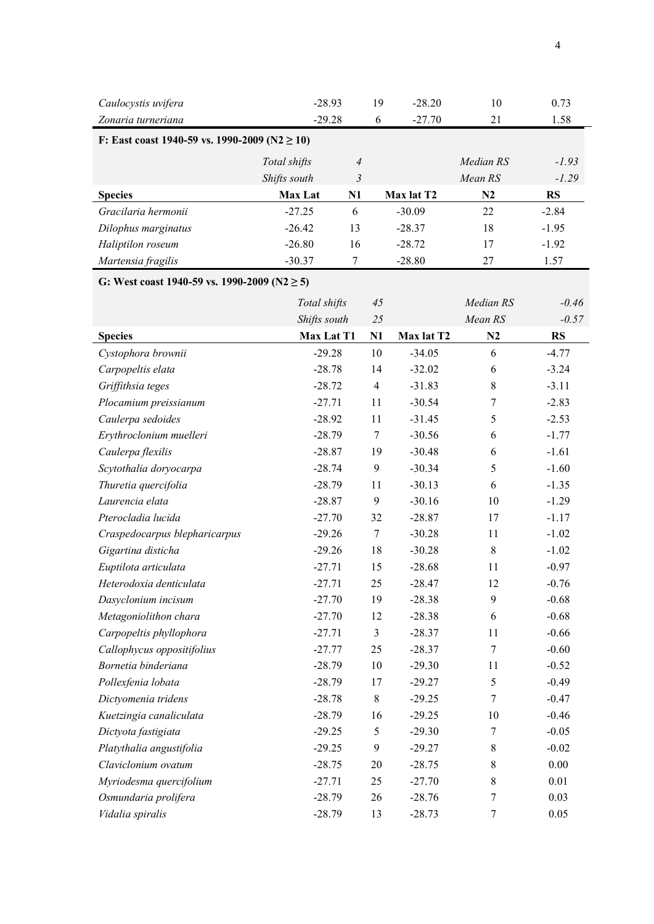| Caulocystis uvifera                                | $-28.93$       |    | 19 | $-28.20$               | 10        | 0.73      |  |  |  |
|----------------------------------------------------|----------------|----|----|------------------------|-----------|-----------|--|--|--|
| Zonaria turneriana                                 | $-29.28$       |    | 6  | $-27.70$               | 21        | 1.58      |  |  |  |
| F: East coast 1940-59 vs. 1990-2009 (N2 $\geq$ 10) |                |    |    |                        |           |           |  |  |  |
|                                                    | Total shifts   | 4  |    |                        | Median RS | $-1.93$   |  |  |  |
|                                                    | Shifts south   | 3  |    |                        | Mean RS   | $-1.29$   |  |  |  |
| <b>Species</b>                                     | <b>Max Lat</b> | N1 |    | Max lat T <sub>2</sub> | N2        | <b>RS</b> |  |  |  |
| Gracilaria hermonii                                | $-27.25$       | 6  |    | $-30.09$               | 22        | $-2.84$   |  |  |  |
| Dilophus marginatus                                | $-26.42$       | 13 |    | $-28.37$               | 18        | $-1.95$   |  |  |  |
| Haliptilon roseum                                  | $-26.80$       | 16 |    | $-28.72$               | 17        | $-1.92$   |  |  |  |
| Martensia fragilis                                 | $-30.37$       |    |    | $-28.80$               | 27        | 1.57      |  |  |  |

## **G: West coast 1940-59 vs. 1990-2009 (N2 ≥ 5)**

|                               | Total shifts | 45             |            | Median RS        | $-0.46$   |
|-------------------------------|--------------|----------------|------------|------------------|-----------|
|                               | Shifts south | 25             |            | Mean RS          | $-0.57$   |
| <b>Species</b>                | Max Lat T1   | N1             | Max lat T2 | $\bf N2$         | <b>RS</b> |
| Cystophora brownii            | $-29.28$     | 10             | $-34.05$   | 6                | $-4.77$   |
| Carpopeltis elata             | $-28.78$     | 14             | $-32.02$   | 6                | $-3.24$   |
| Griffithsia teges             | $-28.72$     | $\overline{4}$ | $-31.83$   | $\,$ 8 $\,$      | $-3.11$   |
| Plocamium preissianum         | $-27.71$     | 11             | $-30.54$   | 7                | $-2.83$   |
| Caulerpa sedoides             | $-28.92$     | 11             | $-31.45$   | 5                | $-2.53$   |
| Erythroclonium muelleri       | $-28.79$     | $\tau$         | $-30.56$   | 6                | $-1.77$   |
| Caulerpa flexilis             | $-28.87$     | 19             | $-30.48$   | 6                | $-1.61$   |
| Scytothalia doryocarpa        | $-28.74$     | 9              | $-30.34$   | 5                | $-1.60$   |
| Thuretia quercifolia          | $-28.79$     | 11             | $-30.13$   | 6                | $-1.35$   |
| Laurencia elata               | $-28.87$     | 9              | $-30.16$   | 10               | $-1.29$   |
| Pterocladia lucida            | $-27.70$     | 32             | $-28.87$   | 17               | $-1.17$   |
| Craspedocarpus blepharicarpus | $-29.26$     | $\tau$         | $-30.28$   | 11               | $-1.02$   |
| Gigartina disticha            | $-29.26$     | 18             | $-30.28$   | 8                | $-1.02$   |
| Euptilota articulata          | $-27.71$     | 15             | $-28.68$   | 11               | $-0.97$   |
| Heterodoxia denticulata       | $-27.71$     | 25             | $-28.47$   | 12               | $-0.76$   |
| Dasyclonium incisum           | $-27.70$     | 19             | $-28.38$   | 9                | $-0.68$   |
| Metagoniolithon chara         | $-27.70$     | 12             | $-28.38$   | 6                | $-0.68$   |
| Carpopeltis phyllophora       | $-27.71$     | $\mathfrak{Z}$ | $-28.37$   | 11               | $-0.66$   |
| Callophycus oppositifolius    | $-27.77$     | 25             | $-28.37$   | $\boldsymbol{7}$ | $-0.60$   |
| Bornetia binderiana           | $-28.79$     | 10             | $-29.30$   | 11               | $-0.52$   |
| Pollexfenia lobata            | $-28.79$     | 17             | $-29.27$   | 5                | $-0.49$   |
| Dictyomenia tridens           | $-28.78$     | $8\,$          | $-29.25$   | $\tau$           | $-0.47$   |
| Kuetzingia canaliculata       | $-28.79$     | 16             | $-29.25$   | 10               | $-0.46$   |
| Dictyota fastigiata           | $-29.25$     | 5              | $-29.30$   | $\boldsymbol{7}$ | $-0.05$   |
| Platythalia angustifolia      | $-29.25$     | 9              | $-29.27$   | $\,$ $\,$        | $-0.02$   |
| Claviclonium ovatum           | $-28.75$     | 20             | $-28.75$   | $\,$ 8 $\,$      | $0.00\,$  |
| Myriodesma quercifolium       | $-27.71$     | 25             | $-27.70$   | 8                | 0.01      |
| Osmundaria prolifera          | $-28.79$     | 26             | $-28.76$   | $\boldsymbol{7}$ | 0.03      |
| Vidalia spiralis              | $-28.79$     | 13             | $-28.73$   | $\boldsymbol{7}$ | 0.05      |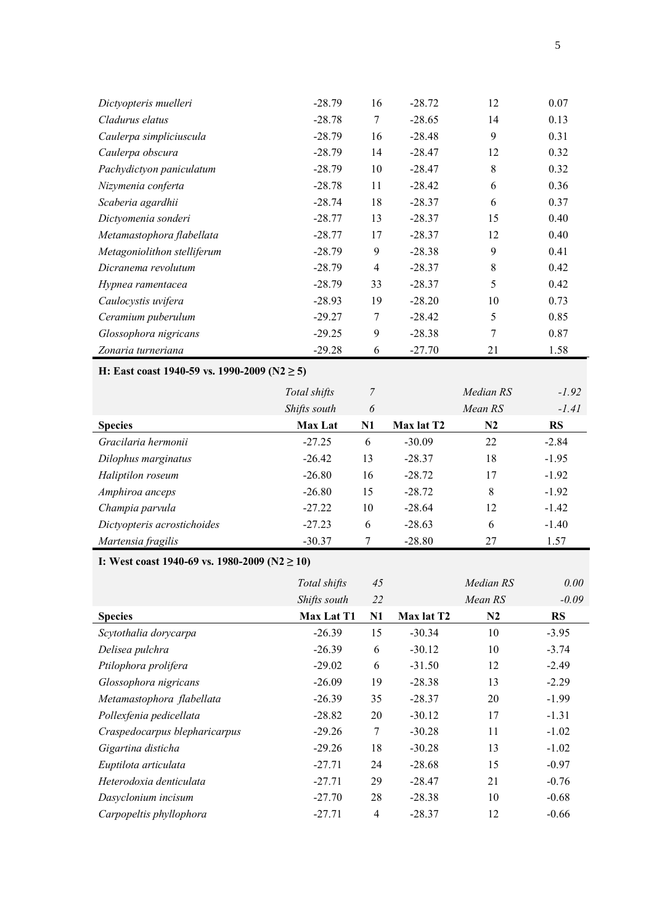| Dictyopteris muelleri       | $-28.79$ | 16 | $-28.72$ | 12 | 0.07 |
|-----------------------------|----------|----|----------|----|------|
| Cladurus elatus             | $-28.78$ | 7  | $-28.65$ | 14 | 0.13 |
| Caulerpa simpliciuscula     | $-28.79$ | 16 | $-28.48$ | 9  | 0.31 |
| Caulerpa obscura            | $-28.79$ | 14 | $-28.47$ | 12 | 0.32 |
| Pachydictyon paniculatum    | $-28.79$ | 10 | $-28.47$ | 8  | 0.32 |
| Nizymenia conferta          | $-28.78$ | 11 | $-28.42$ | 6  | 0.36 |
| Scaberia agardhii           | $-28.74$ | 18 | $-28.37$ | 6  | 0.37 |
| Dictyomenia sonderi         | $-28.77$ | 13 | $-28.37$ | 15 | 0.40 |
| Metamastophora flabellata   | $-28.77$ | 17 | $-28.37$ | 12 | 0.40 |
| Metagoniolithon stelliferum | $-28.79$ | 9  | $-28.38$ | 9  | 0.41 |
| Dicranema revolutum         | $-28.79$ | 4  | $-28.37$ | 8  | 0.42 |
| Hypnea ramentacea           | $-28.79$ | 33 | $-28.37$ | 5  | 0.42 |
| Caulocystis uvifera         | $-28.93$ | 19 | $-28.20$ | 10 | 0.73 |
| Ceramium puberulum          | $-29.27$ | 7  | $-28.42$ | 5  | 0.85 |
| Glossophora nigricans       | $-29.25$ | 9  | $-28.38$ | 7  | 0.87 |
| Zonaria turneriana          | $-29.28$ | 6  | $-27.70$ | 21 | 1.58 |

**H: East coast 1940-59 vs. 1990-2009 (N2 ≥ 5)**

|                             | Total shifts<br>Shifts south | 7<br>6 |            | Median RS<br>Mean RS | $-1.92$<br>$-1.41$ |
|-----------------------------|------------------------------|--------|------------|----------------------|--------------------|
| <b>Species</b>              | <b>Max Lat</b>               | N1     | Max lat T2 | N2                   | <b>RS</b>          |
| Gracilaria hermonii         | $-27.25$                     | 6      | $-30.09$   | 22                   | $-2.84$            |
| Dilophus marginatus         | $-26.42$                     | 13     | $-28.37$   | 18                   | $-1.95$            |
| Haliptilon roseum           | $-26.80$                     | 16     | $-28.72$   | 17                   | $-1.92$            |
| Amphiroa anceps             | $-26.80$                     | 15     | $-28.72$   | 8                    | $-1.92$            |
| Champia parvula             | $-27.22$                     | 10     | $-28.64$   | 12                   | $-1.42$            |
| Dictyopteris acrostichoides | $-27.23$                     | 6      | $-28.63$   | 6                    | $-1.40$            |
| Martensia fragilis          | $-30.37$                     |        | $-28.80$   | 27                   | 1.57               |

## **I: West coast 1940-69 vs. 1980-2009 (N2 ≥ 10)**

|                               | Total shifts | 45             |            | Median RS      | 0.00      |
|-------------------------------|--------------|----------------|------------|----------------|-----------|
|                               | Shifts south | 22             |            | Mean RS        | $-0.09$   |
| <b>Species</b>                | Max Lat T1   | N1             | Max lat T2 | N <sub>2</sub> | <b>RS</b> |
| Scytothalia dorycarpa         | $-26.39$     | 15             | $-30.34$   | 10             | $-3.95$   |
| Delisea pulchra               | $-26.39$     | 6              | $-30.12$   | 10             | $-3.74$   |
| Ptilophora prolifera          | $-29.02$     | 6              | $-31.50$   | 12             | $-2.49$   |
| Glossophora nigricans         | $-26.09$     | 19             | $-28.38$   | 13             | $-2.29$   |
| Metamastophora flabellata     | $-26.39$     | 35             | $-28.37$   | 20             | $-1.99$   |
| Pollexfenia pedicellata       | $-28.82$     | 20             | $-30.12$   | 17             | $-1.31$   |
| Craspedocarpus blepharicarpus | $-29.26$     | 7              | $-30.28$   | 11             | $-1.02$   |
| Gigartina disticha            | $-29.26$     | 18             | $-30.28$   | 13             | $-1.02$   |
| Euptilota articulata          | $-27.71$     | 24             | $-28.68$   | 15             | $-0.97$   |
| Heterodoxia denticulata       | $-27.71$     | 29             | $-28.47$   | 21             | $-0.76$   |
| Dasyclonium incisum           | $-27.70$     | 28             | $-28.38$   | 10             | $-0.68$   |
| Carpopeltis phyllophora       | $-27.71$     | $\overline{4}$ | $-28.37$   | 12             | $-0.66$   |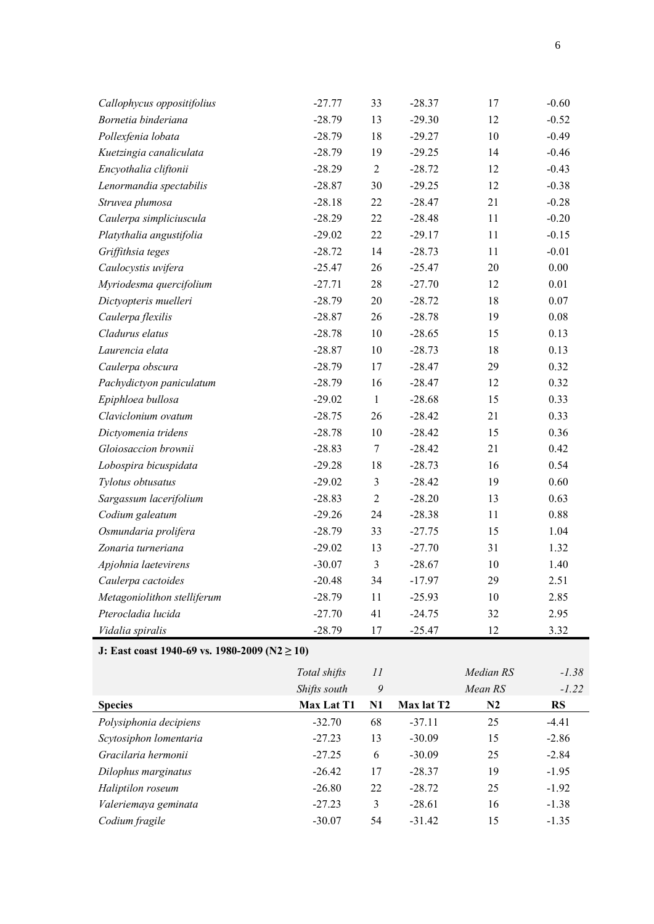| Callophycus oppositifolius  | $-27.77$ | 33               | $-28.37$ | 17     | $-0.60$  |
|-----------------------------|----------|------------------|----------|--------|----------|
| Bornetia binderiana         | $-28.79$ | 13               | $-29.30$ | 12     | $-0.52$  |
| Pollexfenia lobata          | $-28.79$ | 18               | $-29.27$ | 10     | $-0.49$  |
| Kuetzingia canaliculata     | $-28.79$ | 19               | $-29.25$ | 14     | $-0.46$  |
| Encyothalia cliftonii       | $-28.29$ | $\mathfrak{2}$   | $-28.72$ | 12     | $-0.43$  |
| Lenormandia spectabilis     | $-28.87$ | 30               | $-29.25$ | 12     | $-0.38$  |
| Struvea plumosa             | $-28.18$ | 22               | $-28.47$ | 21     | $-0.28$  |
| Caulerpa simpliciuscula     | $-28.29$ | 22               | $-28.48$ | 11     | $-0.20$  |
| Platythalia angustifolia    | $-29.02$ | 22               | $-29.17$ | 11     | $-0.15$  |
| Griffithsia teges           | $-28.72$ | 14               | $-28.73$ | 11     | $-0.01$  |
| Caulocystis uvifera         | $-25.47$ | 26               | $-25.47$ | 20     | $0.00\,$ |
| Myriodesma quercifolium     | $-27.71$ | 28               | $-27.70$ | 12     | 0.01     |
| Dictyopteris muelleri       | $-28.79$ | 20               | $-28.72$ | 18     | 0.07     |
| Caulerpa flexilis           | $-28.87$ | 26               | $-28.78$ | 19     | $0.08\,$ |
| Cladurus elatus             | $-28.78$ | 10               | $-28.65$ | 15     | 0.13     |
| Laurencia elata             | $-28.87$ | 10               | $-28.73$ | 18     | 0.13     |
| Caulerpa obscura            | $-28.79$ | 17               | $-28.47$ | 29     | 0.32     |
| Pachydictyon paniculatum    | $-28.79$ | 16               | $-28.47$ | 12     | 0.32     |
| Epiphloea bullosa           | $-29.02$ | $\mathbf{1}$     | $-28.68$ | 15     | 0.33     |
| Claviclonium ovatum         | $-28.75$ | 26               | $-28.42$ | 21     | 0.33     |
| Dictyomenia tridens         | $-28.78$ | 10               | $-28.42$ | 15     | 0.36     |
| Gloiosaccion brownii        | $-28.83$ | $\boldsymbol{7}$ | $-28.42$ | 21     | 0.42     |
| Lobospira bicuspidata       | $-29.28$ | 18               | $-28.73$ | 16     | 0.54     |
| Tylotus obtusatus           | $-29.02$ | 3                | $-28.42$ | 19     | 0.60     |
| Sargassum lacerifolium      | $-28.83$ | $\overline{2}$   | $-28.20$ | 13     | 0.63     |
| Codium galeatum             | $-29.26$ | 24               | $-28.38$ | 11     | 0.88     |
| Osmundaria prolifera        | $-28.79$ | 33               | $-27.75$ | 15     | 1.04     |
| Zonaria turneriana          | $-29.02$ | 13               | $-27.70$ | 31     | 1.32     |
| Apjohnia laetevirens        | $-30.07$ | 3                | $-28.67$ | 10     | 1.40     |
| Caulerpa cactoides          | $-20.48$ | 34               | $-17.97$ | 29     | 2.51     |
| Metagoniolithon stelliferum | $-28.79$ | 11               | $-25.93$ | $10\,$ | 2.85     |
| Pterocladia lucida          | $-27.70$ | 41               | $-24.75$ | 32     | 2.95     |
| Vidalia spiralis            | $-28.79$ | 17               | $-25.47$ | 12     | 3.32     |

**J: East coast 1940-69 vs. 1980-2009 (N2 ≥ 10)**

|                        | Total shifts<br>Shifts south | 11<br>9 |            | Median RS<br>Mean RS | $-1.38$<br>$-1.22$ |
|------------------------|------------------------------|---------|------------|----------------------|--------------------|
| <b>Species</b>         | <b>Max Lat T1</b>            | N1      | Max lat T2 | N <sub>2</sub>       | <b>RS</b>          |
| Polysiphonia decipiens | $-32.70$                     | 68      | $-37.11$   | 25                   | $-4.41$            |
| Scytosiphon lomentaria | $-27.23$                     | 13      | $-30.09$   | 15                   | $-2.86$            |
| Gracilaria hermonii    | $-27.25$                     | 6       | $-30.09$   | 25                   | $-2.84$            |
| Dilophus marginatus    | $-26.42$                     | 17      | $-28.37$   | 19                   | $-1.95$            |
| Haliptilon roseum      | $-26.80$                     | 22      | $-28.72$   | 25                   | $-1.92$            |
| Valeriemaya geminata   | $-27.23$                     | 3       | $-28.61$   | 16                   | $-1.38$            |
| Codium fragile         | $-30.07$                     | 54      | $-31.42$   | 15                   | $-1.35$            |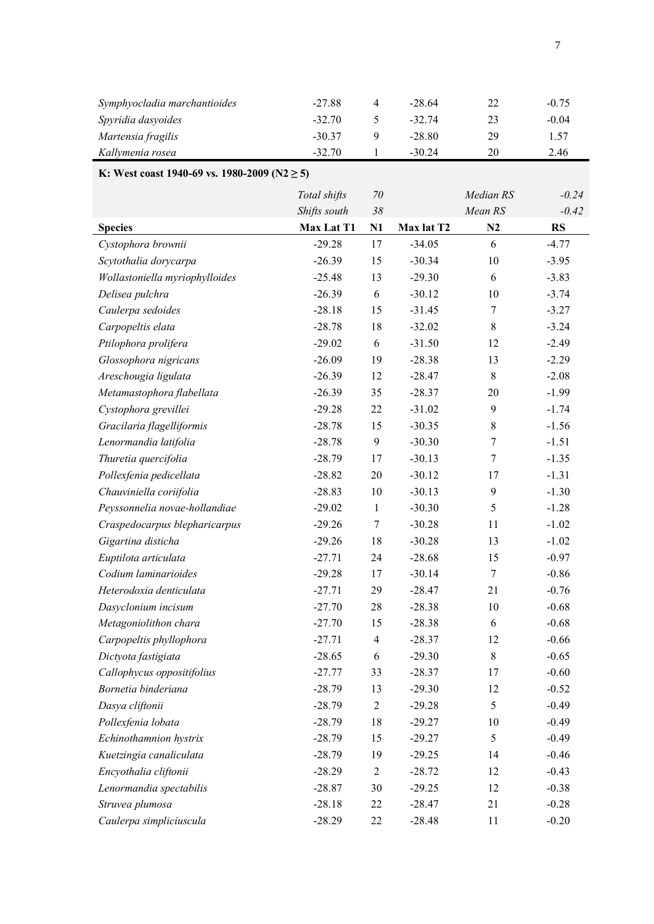| Symphyocladia marchantioides | $-27.88$ | $-28.64$ | 22 | $-0.75$ |
|------------------------------|----------|----------|----|---------|
| Spyridia dasyoides           | $-32.70$ | $-32.74$ | 23 | $-0.04$ |
| Martensia fragilis           | $-30.37$ | $-28.80$ | 29 | 1.57    |
| Kallymenia rosea             | $-32.70$ | $-30.24$ | 20 | 2.46    |

**K: West coast 1940-69 vs. 1980-2009 (N2 ≥ 5)**

|                                | Total shifts | $70\,$           |            | Median RS   | $-0.24$ |
|--------------------------------|--------------|------------------|------------|-------------|---------|
|                                | Shifts south | $38\,$           |            | Mean RS     | $-0.42$ |
| <b>Species</b>                 | Max Lat T1   | N1               | Max lat T2 | N2          | RS      |
| Cystophora brownii             | $-29.28$     | 17               | $-34.05$   | 6           | $-4.77$ |
| Scytothalia dorycarpa          | $-26.39$     | 15               | $-30.34$   | 10          | $-3.95$ |
| Wollastoniella myriophylloides | $-25.48$     | 13               | $-29.30$   | 6           | $-3.83$ |
| Delisea pulchra                | $-26.39$     | 6                | $-30.12$   | 10          | $-3.74$ |
| Caulerpa sedoides              | $-28.18$     | 15               | $-31.45$   | $\tau$      | $-3.27$ |
| Carpopeltis elata              | $-28.78$     | 18               | $-32.02$   | 8           | $-3.24$ |
| Ptilophora prolifera           | $-29.02$     | 6                | $-31.50$   | 12          | $-2.49$ |
| Glossophora nigricans          | $-26.09$     | 19               | $-28.38$   | 13          | $-2.29$ |
| Areschougia ligulata           | $-26.39$     | 12               | $-28.47$   | $\,$ 8 $\,$ | $-2.08$ |
| Metamastophora flabellata      | $-26.39$     | 35               | $-28.37$   | 20          | $-1.99$ |
| Cystophora grevillei           | $-29.28$     | 22               | $-31.02$   | 9           | $-1.74$ |
| Gracilaria flagelliformis      | $-28.78$     | 15               | $-30.35$   | 8           | $-1.56$ |
| Lenormandia latifolia          | $-28.78$     | $\overline{9}$   | $-30.30$   | 7           | $-1.51$ |
| Thuretia quercifolia           | $-28.79$     | 17               | $-30.13$   | 7           | $-1.35$ |
| Pollexfenia pedicellata        | $-28.82$     | 20               | $-30.12$   | 17          | $-1.31$ |
| Chauviniella coriifolia        | $-28.83$     | 10               | $-30.13$   | 9           | $-1.30$ |
| Peyssonnelia novae-hollandiae  | $-29.02$     | $\mathbf{1}$     | $-30.30$   | 5           | $-1.28$ |
| Craspedocarpus blepharicarpus  | $-29.26$     | $\boldsymbol{7}$ | $-30.28$   | 11          | $-1.02$ |
| Gigartina disticha             | $-29.26$     | 18               | $-30.28$   | 13          | $-1.02$ |
| Euptilota articulata           | $-27.71$     | 24               | $-28.68$   | 15          | $-0.97$ |
| Codium laminarioides           | $-29.28$     | 17               | $-30.14$   | $\tau$      | $-0.86$ |
| Heterodoxia denticulata        | $-27.71$     | 29               | $-28.47$   | 21          | $-0.76$ |
| Dasyclonium incisum            | $-27.70$     | 28               | $-28.38$   | 10          | $-0.68$ |
| Metagoniolithon chara          | $-27.70$     | 15               | $-28.38$   | 6           | $-0.68$ |
| Carpopeltis phyllophora        | $-27.71$     | $\overline{4}$   | $-28.37$   | 12          | $-0.66$ |
| Dictyota fastigiata            | $-28.65$     | 6                | $-29.30$   | $\,$ 8 $\,$ | $-0.65$ |
| Callophycus oppositifolius     | $-27.77$     | 33               | $-28.37$   | 17          | $-0.60$ |
| Bornetia binderiana            | $-28.79$     | 13               | $-29.30$   | 12          | $-0.52$ |
| Dasya cliftonii                | $-28.79$     | $\overline{c}$   | $-29.28$   | 5           | $-0.49$ |
| Pollexfenia lobata             | $-28.79$     | 18               | $-29.27$   | 10          | $-0.49$ |
| Echinothamnion hystrix         | $-28.79$     | 15               | $-29.27$   | 5           | $-0.49$ |
| Kuetzingia canaliculata        | $-28.79$     | 19               | $-29.25$   | 14          | $-0.46$ |
| Encyothalia cliftonii          | $-28.29$     | $\overline{2}$   | $-28.72$   | 12          | $-0.43$ |
| Lenormandia spectabilis        | $-28.87$     | 30               | $-29.25$   | 12          | $-0.38$ |
| Struvea plumosa                | $-28.18$     | 22               | $-28.47$   | 21          | $-0.28$ |
| Caulerpa simpliciuscula        | $-28.29$     | 22               | $-28.48$   | 11          | $-0.20$ |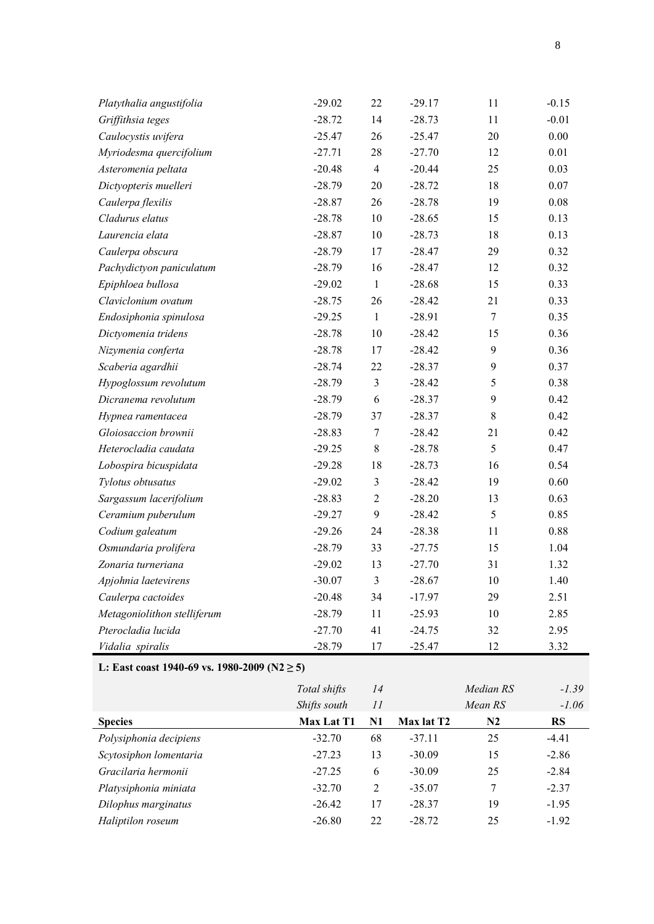| Platythalia angustifolia    | $-29.02$ | 22             | $-29.17$ | 11             | $-0.15$  |
|-----------------------------|----------|----------------|----------|----------------|----------|
| Griffithsia teges           | $-28.72$ | 14             | $-28.73$ | 11             | $-0.01$  |
| Caulocystis uvifera         | $-25.47$ | 26             | $-25.47$ | 20             | $0.00\,$ |
| Myriodesma quercifolium     | $-27.71$ | 28             | $-27.70$ | 12             | 0.01     |
| Asteromenia peltata         | $-20.48$ | $\overline{4}$ | $-20.44$ | 25             | 0.03     |
| Dictyopteris muelleri       | $-28.79$ | 20             | $-28.72$ | 18             | $0.07\,$ |
| Caulerpa flexilis           | $-28.87$ | 26             | $-28.78$ | 19             | $0.08\,$ |
| Cladurus elatus             | $-28.78$ | 10             | $-28.65$ | 15             | 0.13     |
| Laurencia elata             | $-28.87$ | 10             | $-28.73$ | 18             | 0.13     |
| Caulerpa obscura            | $-28.79$ | 17             | $-28.47$ | 29             | 0.32     |
| Pachydictyon paniculatum    | $-28.79$ | 16             | $-28.47$ | 12             | 0.32     |
| Epiphloea bullosa           | $-29.02$ | $\mathbf{1}$   | $-28.68$ | 15             | 0.33     |
| Claviclonium ovatum         | $-28.75$ | 26             | $-28.42$ | 21             | 0.33     |
| Endosiphonia spinulosa      | $-29.25$ | $\mathbf{1}$   | $-28.91$ | $\overline{7}$ | 0.35     |
| Dictyomenia tridens         | $-28.78$ | 10             | $-28.42$ | 15             | 0.36     |
| Nizymenia conferta          | $-28.78$ | 17             | $-28.42$ | 9              | 0.36     |
| Scaberia agardhii           | $-28.74$ | 22             | $-28.37$ | 9              | 0.37     |
| Hypoglossum revolutum       | $-28.79$ | $\overline{3}$ | $-28.42$ | 5              | 0.38     |
| Dicranema revolutum         | $-28.79$ | 6              | $-28.37$ | 9              | 0.42     |
| Hypnea ramentacea           | $-28.79$ | 37             | $-28.37$ | 8              | 0.42     |
| Gloiosaccion brownii        | $-28.83$ | $\tau$         | $-28.42$ | 21             | 0.42     |
| Heterocladia caudata        | $-29.25$ | $\,$ 8 $\,$    | $-28.78$ | 5              | 0.47     |
| Lobospira bicuspidata       | $-29.28$ | 18             | $-28.73$ | 16             | 0.54     |
| Tylotus obtusatus           | $-29.02$ | $\mathfrak{Z}$ | $-28.42$ | 19             | 0.60     |
| Sargassum lacerifolium      | $-28.83$ | $\overline{2}$ | $-28.20$ | 13             | 0.63     |
| Ceramium puberulum          | $-29.27$ | 9              | $-28.42$ | 5              | 0.85     |
| Codium galeatum             | $-29.26$ | 24             | $-28.38$ | 11             | 0.88     |
| Osmundaria prolifera        | $-28.79$ | 33             | $-27.75$ | 15             | 1.04     |
| Zonaria turneriana          | $-29.02$ | 13             | $-27.70$ | 31             | 1.32     |
| Apjohnia laetevirens        | $-30.07$ | $\mathfrak{Z}$ | $-28.67$ | 10             | 1.40     |
| Caulerpa cactoides          | $-20.48$ | 34             | $-17.97$ | 29             | 2.51     |
| Metagoniolithon stelliferum | $-28.79$ | 11             | $-25.93$ | 10             | 2.85     |
| Pterocladia lucida          | $-27.70$ | 41             | $-24.75$ | 32             | 2.95     |
| Vidalia spiralis            | $-28.79$ | 17             | $-25.47$ | 12             | 3.32     |

**L: East coast 1940-69 vs. 1980-2009 (N2 ≥ 5)**

|                        | Total shifts      | 14 |                        | Median RS      | $-1.39$   |
|------------------------|-------------------|----|------------------------|----------------|-----------|
|                        | Shifts south      | 11 |                        | Mean RS        | $-1.06$   |
| <b>Species</b>         | <b>Max Lat T1</b> | N1 | Max lat T <sub>2</sub> | N <sub>2</sub> | <b>RS</b> |
| Polysiphonia decipiens | $-32.70$          | 68 | $-37.11$               | 25             | $-4.41$   |
| Scytosiphon lomentaria | $-27.23$          | 13 | $-30.09$               | 15             | $-2.86$   |
| Gracilaria hermonii    | $-27.25$          | 6  | $-30.09$               | 25             | $-2.84$   |
| Platysiphonia miniata  | $-32.70$          | 2  | $-35.07$               | 7              | $-2.37$   |
| Dilophus marginatus    | $-26.42$          | 17 | $-28.37$               | 19             | $-1.95$   |
| Haliptilon roseum      | $-26.80$          | 22 | $-28.72$               | 25             | $-1.92$   |